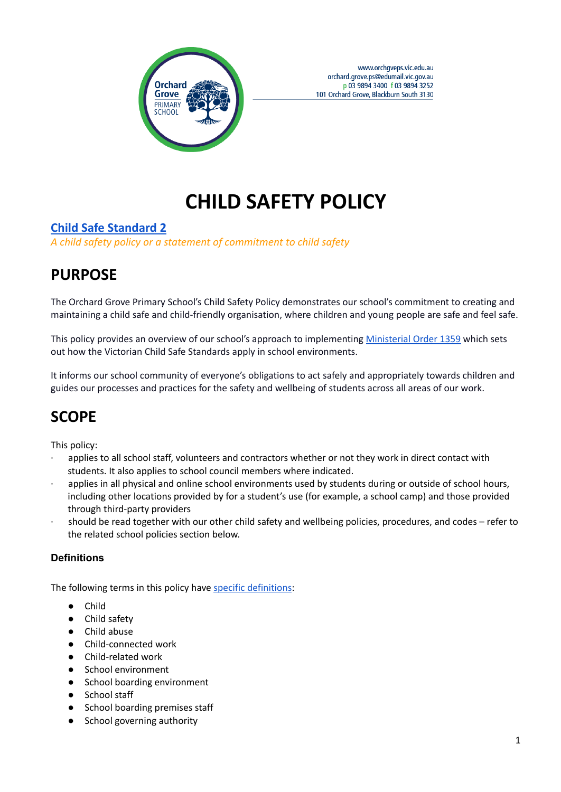

# **CHILD SAFETY POLICY**

#### **Child Safe [Standard](https://www.education.vic.gov.au/school/teachers/health/childprotection/Pages/safeenviro.aspx#link95) 2**

*A child safety policy or a statement of commitment to child safety*

# **PURPOSE**

The Orchard Grove Primary School's Child Safety Policy demonstrates our school's commitment to creating and maintaining a child safe and child-friendly organisation, where children and young people are safe and feel safe.

This policy provides an overview of our school's approach to implementing [Ministerial](https://www.education.vic.gov.au/Documents/about/programs/health/protect/Ministerial_Order.pdf) Order 1359 which sets out how the Victorian Child Safe Standards apply in school environments.

It informs our school community of everyone's obligations to act safely and appropriately towards children and guides our processes and practices for the safety and wellbeing of students across all areas of our work.

# **SCOPE**

This policy:

- applies to all school staff, volunteers and contractors whether or not they work in direct contact with students. It also applies to school council members where indicated.
- applies in all physical and online school environments used by students during or outside of school hours, including other locations provided by for a student's use (for example, a school camp) and those provided through third-party providers
- · should be read together with our other child safety and wellbeing policies, procedures, and codes refer to the related school policies section below.

#### **Definitions**

The following terms in this policy have specific [definitions](https://www.vic.gov.au/child-safe-standards-definitions):

- **Child**
- Child safety
- Child abuse
- Child-connected work
- Child-related work
- School environment
- School boarding environment
- School staff
- School boarding premises staff
- School governing authority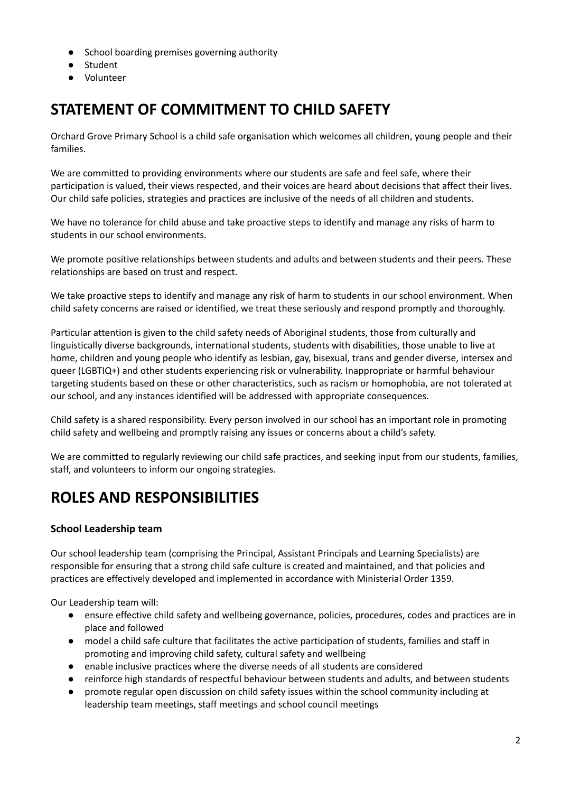- School boarding premises governing authority
- Student
- Volunteer

# **STATEMENT OF COMMITMENT TO CHILD SAFETY**

Orchard Grove Primary School is a child safe organisation which welcomes all children, young people and their families.

We are committed to providing environments where our students are safe and feel safe, where their participation is valued, their views respected, and their voices are heard about decisions that affect their lives. Our child safe policies, strategies and practices are inclusive of the needs of all children and students.

We have no tolerance for child abuse and take proactive steps to identify and manage any risks of harm to students in our school environments.

We promote positive relationships between students and adults and between students and their peers. These relationships are based on trust and respect.

We take proactive steps to identify and manage any risk of harm to students in our school environment. When child safety concerns are raised or identified, we treat these seriously and respond promptly and thoroughly.

Particular attention is given to the child safety needs of Aboriginal students, those from culturally and linguistically diverse backgrounds, international students, students with disabilities, those unable to live at home, children and young people who identify as lesbian, gay, bisexual, trans and gender diverse, intersex and queer (LGBTIQ+) and other students experiencing risk or vulnerability. Inappropriate or harmful behaviour targeting students based on these or other characteristics, such as racism or homophobia, are not tolerated at our school, and any instances identified will be addressed with appropriate consequences.

Child safety is a shared responsibility. Every person involved in our school has an important role in promoting child safety and wellbeing and promptly raising any issues or concerns about a child's safety.

We are committed to regularly reviewing our child safe practices, and seeking input from our students, families, staff, and volunteers to inform our ongoing strategies.

### **ROLES AND RESPONSIBILITIES**

#### **School Leadership team**

Our school leadership team (comprising the Principal, Assistant Principals and Learning Specialists) are responsible for ensuring that a strong child safe culture is created and maintained, and that policies and practices are effectively developed and implemented in accordance with Ministerial Order 1359.

Our Leadership team will:

- ensure effective child safety and wellbeing governance, policies, procedures, codes and practices are in place and followed
- model a child safe culture that facilitates the active participation of students, families and staff in promoting and improving child safety, cultural safety and wellbeing
- enable inclusive practices where the diverse needs of all students are considered
- reinforce high standards of respectful behaviour between students and adults, and between students
- promote regular open discussion on child safety issues within the school community including at leadership team meetings, staff meetings and school council meetings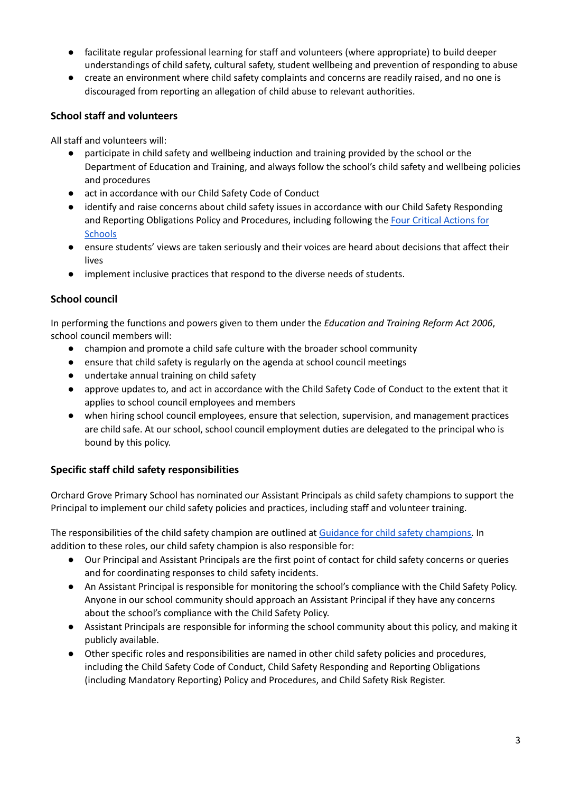- facilitate regular professional learning for staff and volunteers (where appropriate) to build deeper understandings of child safety, cultural safety, student wellbeing and prevention of responding to abuse
- create an environment where child safety complaints and concerns are readily raised, and no one is discouraged from reporting an allegation of child abuse to relevant authorities.

#### **School staff and volunteers**

All staff and volunteers will:

- participate in child safety and wellbeing induction and training provided by the school or the Department of Education and Training, and always follow the school's child safety and wellbeing policies and procedures
- act in accordance with our Child Safety Code of Conduct
- identify and raise concerns about child safety issues in accordance with our Child Safety Responding and Reporting Obligations Policy and Procedures, including following the Four Critical [Actions](https://www.education.vic.gov.au/school/teachers/health/childprotection/Pages/report.aspx) for **[Schools](https://www.education.vic.gov.au/school/teachers/health/childprotection/Pages/report.aspx)**
- ensure students' views are taken seriously and their voices are heard about decisions that affect their lives
- implement inclusive practices that respond to the diverse needs of students.

#### **School council**

In performing the functions and powers given to them under the *Education and Training Reform Act 2006*, school council members will:

- champion and promote a child safe culture with the broader school community
- ensure that child safety is regularly on the agenda at school council meetings
- undertake annual training on child safety
- approve updates to, and act in accordance with the Child Safety Code of Conduct to the extent that it applies to school council employees and members
- when hiring school council employees, ensure that selection, supervision, and management practices are child safe. At our school, school council employment duties are delegated to the principal who is bound by this policy.

#### **Specific staff child safety responsibilities**

Orchard Grove Primary School has nominated our Assistant Principals as child safety champions to support the Principal to implement our child safety policies and practices, including staff and volunteer training.

The responsibilities of the child safety champion are outlined at Guidance for child safety [champions.](https://www.vic.gov.au/guidance-child-safety-champions) In addition to these roles, our child safety champion is also responsible for:

- Our Principal and Assistant Principals are the first point of contact for child safety concerns or queries and for coordinating responses to child safety incidents.
- An Assistant Principal is responsible for monitoring the school's compliance with the Child Safety Policy. Anyone in our school community should approach an Assistant Principal if they have any concerns about the school's compliance with the Child Safety Policy.
- Assistant Principals are responsible for informing the school community about this policy, and making it publicly available.
- Other specific roles and responsibilities are named in other child safety policies and procedures, including the Child Safety Code of Conduct, Child Safety Responding and Reporting Obligations (including Mandatory Reporting) Policy and Procedures, and Child Safety Risk Register.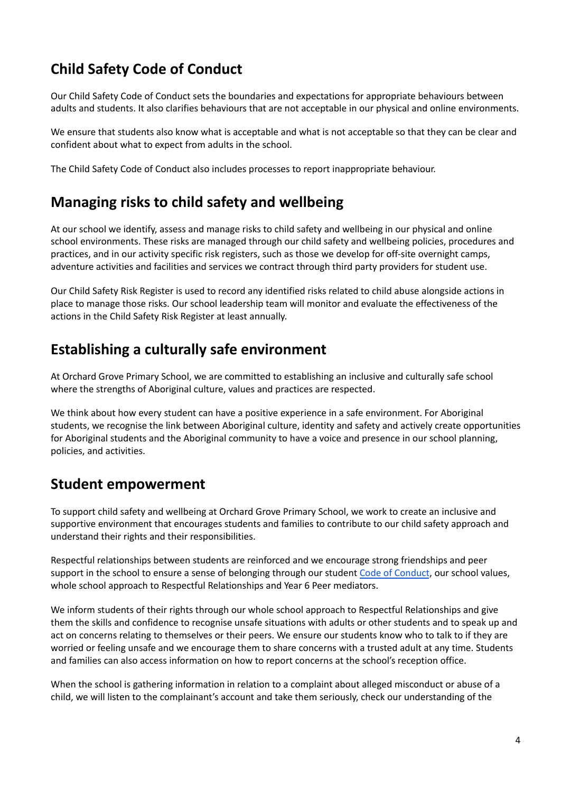### **Child Safety Code of Conduct**

Our Child Safety Code of Conduct sets the boundaries and expectations for appropriate behaviours between adults and students. It also clarifies behaviours that are not acceptable in our physical and online environments.

We ensure that students also know what is acceptable and what is not acceptable so that they can be clear and confident about what to expect from adults in the school.

The Child Safety Code of Conduct also includes processes to report inappropriate behaviour.

### **Managing risks to child safety and wellbeing**

At our school we identify, assess and manage risks to child safety and wellbeing in our physical and online school environments. These risks are managed through our child safety and wellbeing policies, procedures and practices, and in our activity specific risk registers, such as those we develop for off-site overnight camps, adventure activities and facilities and services we contract through third party providers for student use.

Our Child Safety Risk Register is used to record any identified risks related to child abuse alongside actions in place to manage those risks. Our school leadership team will monitor and evaluate the effectiveness of the actions in the Child Safety Risk Register at least annually.

### **Establishing a culturally safe environment**

At Orchard Grove Primary School, we are committed to establishing an inclusive and culturally safe school where the strengths of Aboriginal culture, values and practices are respected.

We think about how every student can have a positive experience in a safe environment. For Aboriginal students, we recognise the link between Aboriginal culture, identity and safety and actively create opportunities for Aboriginal students and the Aboriginal community to have a voice and presence in our school planning, policies, and activities.

### **Student empowerment**

To support child safety and wellbeing at Orchard Grove Primary School, we work to create an inclusive and supportive environment that encourages students and families to contribute to our child safety approach and understand their rights and their responsibilities.

Respectful relationships between students are reinforced and we encourage strong friendships and peer support in the school to ensure a sense of belonging through our student Code of [Conduct](https://docs.google.com/document/d/1zMwRXTbbw_sNuqKMQcS6MaehHVR8Gtv4515lNkX8EE0/edit), our school values, whole school approach to Respectful Relationships and Year 6 Peer mediators.

We inform students of their rights through our whole school approach to Respectful Relationships and give them the skills and confidence to recognise unsafe situations with adults or other students and to speak up and act on concerns relating to themselves or their peers. We ensure our students know who to talk to if they are worried or feeling unsafe and we encourage them to share concerns with a trusted adult at any time. Students and families can also access information on how to report concerns at the school's reception office.

When the school is gathering information in relation to a complaint about alleged misconduct or abuse of a child, we will listen to the complainant's account and take them seriously, check our understanding of the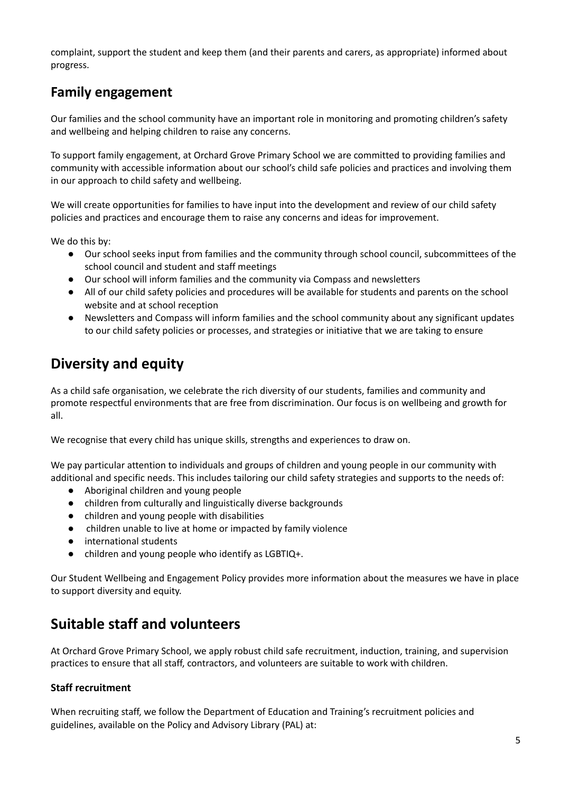complaint, support the student and keep them (and their parents and carers, as appropriate) informed about progress.

### **Family engagement**

Our families and the school community have an important role in monitoring and promoting children's safety and wellbeing and helping children to raise any concerns.

To support family engagement, at Orchard Grove Primary School we are committed to providing families and community with accessible information about our school's child safe policies and practices and involving them in our approach to child safety and wellbeing.

We will create opportunities for families to have input into the development and review of our child safety policies and practices and encourage them to raise any concerns and ideas for improvement.

We do this by:

- Our school seeks input from families and the community through school council, subcommittees of the school council and student and staff meetings
- Our school will inform families and the community via Compass and newsletters
- All of our child safety policies and procedures will be available for students and parents on the school website and at school reception
- Newsletters and Compass will inform families and the school community about any significant updates to our child safety policies or processes, and strategies or initiative that we are taking to ensure

### **Diversity and equity**

As a child safe organisation, we celebrate the rich diversity of our students, families and community and promote respectful environments that are free from discrimination. Our focus is on wellbeing and growth for all.

We recognise that every child has unique skills, strengths and experiences to draw on.

We pay particular attention to individuals and groups of children and young people in our community with additional and specific needs. This includes tailoring our child safety strategies and supports to the needs of:

- Aboriginal children and young people
- children from culturally and linguistically diverse backgrounds
- children and young people with disabilities
- children unable to live at home or impacted by family violence
- international students
- children and young people who identify as LGBTIQ+.

Our Student Wellbeing and Engagement Policy provides more information about the measures we have in place to support diversity and equity.

### **Suitable staff and volunteers**

At Orchard Grove Primary School, we apply robust child safe recruitment, induction, training, and supervision practices to ensure that all staff, contractors, and volunteers are suitable to work with children.

#### **Staff recruitment**

When recruiting staff, we follow the Department of Education and Training's recruitment policies and guidelines, available on the Policy and Advisory Library (PAL) at: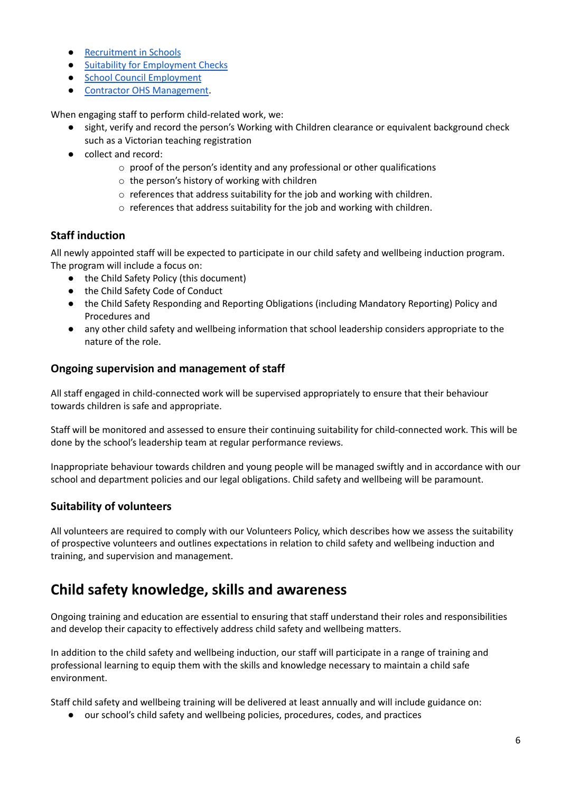- [Recruitment](https://www2.education.vic.gov.au/pal/recruitment-schools/overview) in Schools
- Suitability for [Employment](https://www2.education.vic.gov.au/pal/suitability-employment-checks/overview) Checks
- School Council [Employment](https://www2.education.vic.gov.au/pal/school-council-employment/overview)
- Contractor OHS [Management.](https://www2.education.vic.gov.au/pal/contractor-ohs-management/policy)

When engaging staff to perform child-related work, we:

- sight, verify and record the person's Working with Children clearance or equivalent background check
- such as a Victorian teaching registration ● collect and record:
	- o proof of the person's identity and any professional or other qualifications
		- o the person's history of working with children
		- o references that address suitability for the job and working with children.
		- o references that address suitability for the job and working with children.

#### **Staff induction**

All newly appointed staff will be expected to participate in our child safety and wellbeing induction program. The program will include a focus on:

- the Child Safety Policy (this document)
- the Child Safety Code of Conduct
- the Child Safety Responding and Reporting Obligations (including Mandatory Reporting) Policy and Procedures and
- any other child safety and wellbeing information that school leadership considers appropriate to the nature of the role.

#### **Ongoing supervision and management of staff**

All staff engaged in child-connected work will be supervised appropriately to ensure that their behaviour towards children is safe and appropriate.

Staff will be monitored and assessed to ensure their continuing suitability for child-connected work. This will be done by the school's leadership team at regular performance reviews.

Inappropriate behaviour towards children and young people will be managed swiftly and in accordance with our school and department policies and our legal obligations. Child safety and wellbeing will be paramount.

#### **Suitability of volunteers**

All volunteers are required to comply with our Volunteers Policy, which describes how we assess the suitability of prospective volunteers and outlines expectations in relation to child safety and wellbeing induction and training, and supervision and management.

### **Child safety knowledge, skills and awareness**

Ongoing training and education are essential to ensuring that staff understand their roles and responsibilities and develop their capacity to effectively address child safety and wellbeing matters.

In addition to the child safety and wellbeing induction, our staff will participate in a range of training and professional learning to equip them with the skills and knowledge necessary to maintain a child safe environment.

Staff child safety and wellbeing training will be delivered at least annually and will include guidance on:

● our school's child safety and wellbeing policies, procedures, codes, and practices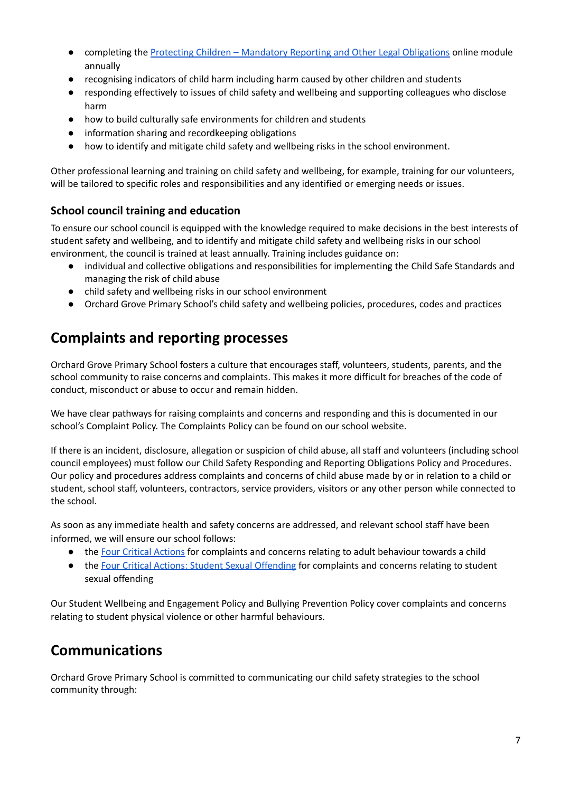- completing the Protecting Children Mandatory Reporting and Other Legal [Obligations](http://elearn.com.au/det/protectingchildren/) online module annually
- recognising indicators of child harm including harm caused by other children and students
- responding effectively to issues of child safety and wellbeing and supporting colleagues who disclose harm
- how to build culturally safe environments for children and students
- information sharing and recordkeeping obligations
- how to identify and mitigate child safety and wellbeing risks in the school environment.

Other professional learning and training on child safety and wellbeing, for example, training for our volunteers, will be tailored to specific roles and responsibilities and any identified or emerging needs or issues.

#### **School council training and education**

To ensure our school council is equipped with the knowledge required to make decisions in the best interests of student safety and wellbeing, and to identify and mitigate child safety and wellbeing risks in our school environment, the council is trained at least annually. Training includes guidance on:

- individual and collective obligations and responsibilities for implementing the Child Safe Standards and managing the risk of child abuse
- child safety and wellbeing risks in our school environment
- Orchard Grove Primary School's child safety and wellbeing policies, procedures, codes and practices

### **Complaints and reporting processes**

Orchard Grove Primary School fosters a culture that encourages staff, volunteers, students, parents, and the school community to raise concerns and complaints. This makes it more difficult for breaches of the code of conduct, misconduct or abuse to occur and remain hidden.

We have clear pathways for raising complaints and concerns and responding and this is documented in our school's Complaint Policy. The Complaints Policy can be found on our school website.

If there is an incident, disclosure, allegation or suspicion of child abuse, all staff and volunteers (including school council employees) must follow our Child Safety Responding and Reporting Obligations Policy and Procedures. Our policy and procedures address complaints and concerns of child abuse made by or in relation to a child or student, school staff, volunteers, contractors, service providers, visitors or any other person while connected to the school.

As soon as any immediate health and safety concerns are addressed, and relevant school staff have been informed, we will ensure our school follows:

- the Four Critical [Actions](https://www.education.vic.gov.au/Documents/about/programs/health/protect/FourCriticalActions_ChildAbuse.pdf) for complaints and concerns relating to adult behaviour towards a child
- the Four Critical Actions: Student Sexual [Offending](https://www.education.vic.gov.au/school/teachers/health/childprotection/Pages/stusexual.aspx) for complaints and concerns relating to student sexual offending

Our Student Wellbeing and Engagement Policy and Bullying Prevention Policy cover complaints and concerns relating to student physical violence or other harmful behaviours.

### **Communications**

Orchard Grove Primary School is committed to communicating our child safety strategies to the school community through: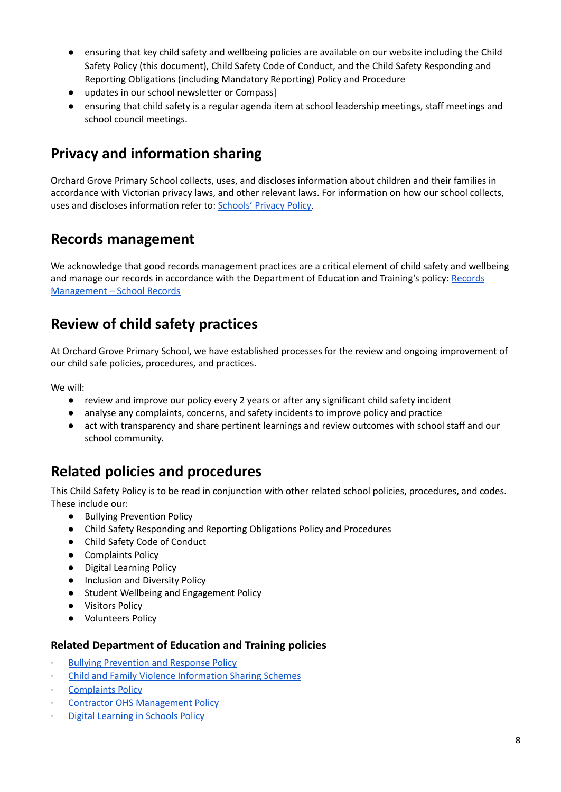- ensuring that key child safety and wellbeing policies are available on our website including the Child Safety Policy (this document), Child Safety Code of Conduct, and the Child Safety Responding and Reporting Obligations (including Mandatory Reporting) Policy and Procedure
- updates in our school newsletter or Compass]
- ensuring that child safety is a regular agenda item at school leadership meetings, staff meetings and school council meetings.

### **Privacy and information sharing**

Orchard Grove Primary School collects, uses, and discloses information about children and their families in accordance with Victorian privacy laws, and other relevant laws. For information on how our school collects, uses and discloses information refer to: [Schools'](https://www.education.vic.gov.au/Pages/schoolsprivacypolicy.aspx) Privacy Policy.

### **Records management**

We acknowledge that good records management practices are a critical element of child safety and wellbeing and manage our records in accordance with the Department of Education and Training's policy: [Records](https://www2.education.vic.gov.au/pal/records-management/policy) [Management](https://www2.education.vic.gov.au/pal/records-management/policy) – School Records

### **Review of child safety practices**

At Orchard Grove Primary School, we have established processes for the review and ongoing improvement of our child safe policies, procedures, and practices.

We will:

- review and improve our policy every 2 years or after any significant child safety incident
- analyse any complaints, concerns, and safety incidents to improve policy and practice
- act with transparency and share pertinent learnings and review outcomes with school staff and our school community.

### **Related policies and procedures**

This Child Safety Policy is to be read in conjunction with other related school policies, procedures, and codes. These include our:

- Bullying Prevention Policy
- Child Safety Responding and Reporting Obligations Policy and Procedures
- Child Safety Code of Conduct
- Complaints Policy
- Digital Learning Policy
- Inclusion and Diversity Policy
- Student Wellbeing and Engagement Policy
- Visitors Policy
- Volunteers Policy

#### **Related Department of Education and Training policies**

- · Bullying [Prevention](https://www2.education.vic.gov.au/pal/bullying-prevention-response/policy) and Response Policy
- · Child and Family Violence [Information](https://www2.education.vic.gov.au/pal/information-sharing-schemes/policy) Sharing Schemes
- **[Complaints](https://www2.education.vic.gov.au/pal/complaints/policy) Policy**
- · Contractor OHS [Management](https://www2.education.vic.gov.au/pal/contractor-ohs-management/policy) Policy
- **Digital [Learning](https://www2.education.vic.gov.au/pal/digital-learning/policy) in Schools Policy**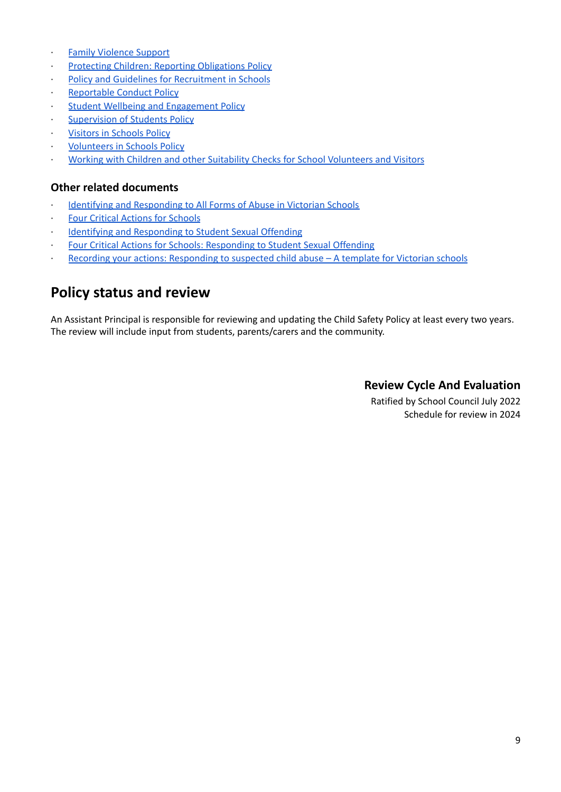- Family [Violence](https://www2.education.vic.gov.au/pal/family-violence-support/policy) Support
- **Protecting Children: Reporting [Obligations](https://www2.education.vic.gov.au/pal/protecting-children/policy) Policy**
- Policy and Guidelines for [Recruitment](https://www2.education.vic.gov.au/pal/recruitment-schools/policy-and-guidelines) in Schools
- [Reportable](https://www2.education.vic.gov.au/pal/reportable-conduct-scheme/policy) Conduct Policy
- **Student Wellbeing and [Engagement](https://www2.education.vic.gov.au/pal/student-engagement/policy) Policy**
- [Supervision](https://www2.education.vic.gov.au/pal/supervision-students/policy) of Students Policy
- **Visitors in [Schools](https://www2.education.vic.gov.au/pal/visitors/policy) Policy**
- **[Volunteers](https://www2.education.vic.gov.au/pal/volunteers/policy) in Schools Policy**
- · Working with Children and other Suitability Checks for School [Volunteers](https://www2.education.vic.gov.au/pal/suitability-checks/policy) and Visitors

#### **Other related documents**

- Identifying and [Responding](https://www.education.vic.gov.au/Documents/about/programs/health/protect/ChildSafeStandard5_SchoolsGuide.pdf) to All Forms of Abuse in Victorian Schools
- **Four Critical Actions for [Schools](https://www.education.vic.gov.au/Documents/about/programs/health/protect/FourCriticalActions_ChildAbuse.pdf)**
- · Identifying and [Responding](https://www.education.vic.gov.au/Documents/about/programs/health/protect/SSO_Policy.pdf) to Student Sexual Offending
- Four Critical Actions for Schools: [Responding](https://www.education.vic.gov.au/Documents/about/programs/health/protect/FourCriticalActions_SSO.pdf) to Student Sexual Offending
- Recording your actions: [Responding](https://www.education.vic.gov.au/Documents/about/programs/health/protect/PROTECT_Schoolstemplate.pdf) to suspected child abuse A template for Victorian schools

### **Policy status and review**

An Assistant Principal is responsible for reviewing and updating the Child Safety Policy at least every two years. The review will include input from students, parents/carers and the community.

#### **Review Cycle And Evaluation**

Ratified by School Council July 2022 Schedule for review in 2024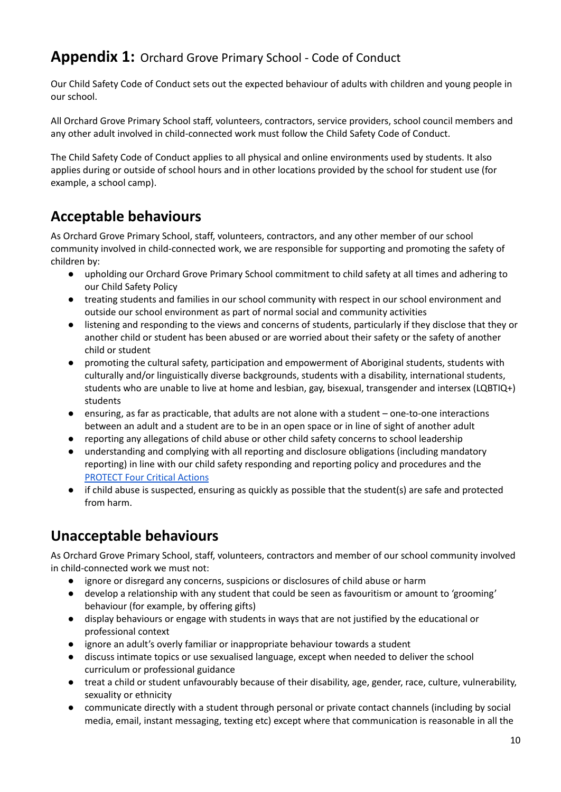### **Appendix 1:** Orchard Grove Primary School - Code of Conduct

Our Child Safety Code of Conduct sets out the expected behaviour of adults with children and young people in our school.

All Orchard Grove Primary School staff, volunteers, contractors, service providers, school council members and any other adult involved in child-connected work must follow the Child Safety Code of Conduct.

The Child Safety Code of Conduct applies to all physical and online environments used by students. It also applies during or outside of school hours and in other locations provided by the school for student use (for example, a school camp).

### **Acceptable behaviours**

As Orchard Grove Primary School, staff, volunteers, contractors, and any other member of our school community involved in child-connected work, we are responsible for supporting and promoting the safety of children by:

- upholding our Orchard Grove Primary School commitment to child safety at all times and adhering to our Child Safety Policy
- treating students and families in our school community with respect in our school environment and outside our school environment as part of normal social and community activities
- listening and responding to the views and concerns of students, particularly if they disclose that they or another child or student has been abused or are worried about their safety or the safety of another child or student
- promoting the cultural safety, participation and empowerment of Aboriginal students, students with culturally and/or linguistically diverse backgrounds, students with a disability, international students, students who are unable to live at home and lesbian, gay, bisexual, transgender and intersex (LQBTIQ+) students
- ensuring, as far as practicable, that adults are not alone with a student one-to-one interactions between an adult and a student are to be in an open space or in line of sight of another adult
- reporting any allegations of child abuse or other child safety concerns to school leadership
- understanding and complying with all reporting and disclosure obligations (including mandatory reporting) in line with our child safety responding and reporting policy and procedures and th[e](https://www.education.vic.gov.au/Documents/about/programs/health/protect/FourCriticalActions_ChildAbuse.pdf) [PROTECT](https://www.education.vic.gov.au/Documents/about/programs/health/protect/FourCriticalActions_ChildAbuse.pdf) Four Critical Actions
- if child abuse is suspected, ensuring as quickly as possible that the student(s) are safe and protected from harm.

### **Unacceptable behaviours**

As Orchard Grove Primary School, staff, volunteers, contractors and member of our school community involved in child-connected work we must not:

- ignore or disregard any concerns, suspicions or disclosures of child abuse or harm
- develop a relationship with any student that could be seen as favouritism or amount to 'grooming' behaviour (for example, by offering gifts)
- display behaviours or engage with students in ways that are not justified by the educational or professional context
- ignore an adult's overly familiar or inappropriate behaviour towards a student
- discuss intimate topics or use sexualised language, except when needed to deliver the school curriculum or professional guidance
- treat a child or student unfavourably because of their disability, age, gender, race, culture, vulnerability, sexuality or ethnicity
- communicate directly with a student through personal or private contact channels (including by social media, email, instant messaging, texting etc) except where that communication is reasonable in all the